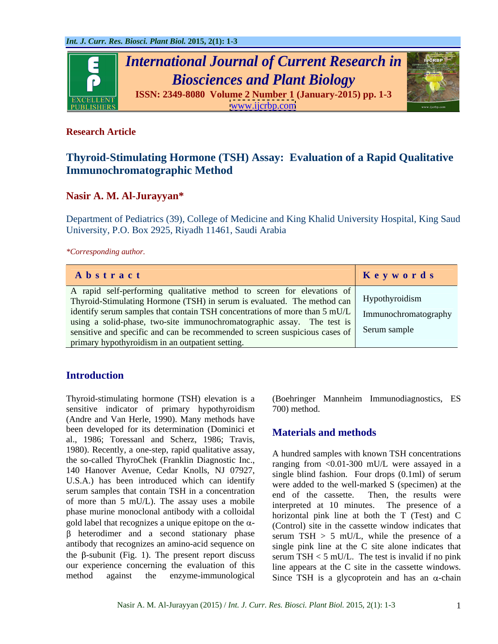

## **Research Article**

# **Thyroid-Stimulating Hormone (TSH) Assay: Evaluation of a Rapid Qualitative Immunochromatographic Method**

## **Nasir A. M. Al-Jurayyan\***

Department of Pediatrics (39), College of Medicine and King Khalid University Hospital, King Saud University, P.O. Box 2925, Riyadh 11461, Saudi Arabia

*\*Corresponding author.*

| Abstract                                                                                                                                                           | Keywords |
|--------------------------------------------------------------------------------------------------------------------------------------------------------------------|----------|
| A rapid self-performing qualitative method to screen for elevations of<br>Thyroid-Stimulating Hormone (TSH) in serum is evaluated. The method can   Hypothyroidism |          |
| identify serum samples that contain TSH concentrations of more than $5 \text{ mU/L}$ Immunochromatography                                                          |          |
| using a solid-phase, two-site immunochromatographic assay. The test is                                                                                             |          |
| sensitive and specific and can be recommended to screen suspicious cases of Serum sample<br>primary hypothyroidism in an outpatient setting.                       |          |

## **Introduction**

Thyroid-stimulating hormone (TSH) elevation is a (Boehringer Mannheim Immunodiagnostics, ES sensitive indicator of primary hypothyroidism 700) method. (Andre and Van Herle, 1990). Many methods have been developed for its determination (Dominici et al., 1986; Toressanl and Scherz, 1986; Travis, 1980). Recently, a one-step, rapid qualitative assay, the so-called ThyroChek (Franklin Diagnostic Inc., 140 Hanover Avenue, Cedar Knolls, NJ 07927, U.S.A.) has been introduced which can identify serum samples that contain TSH in a concentration and of the cassette. Then, the results were of more than 5 mU/L). The assay uses a mobile<br>interpreted at 10 minutes. The presence of a phase murine monoclonal antibody with a colloidal gold label that recognizes a unique epitope on the  $\alpha$ antibody that recognizes an amino-acid sequence on the  $\beta$ -subunit (Fig. 1). The present report discuss serum TSH < 5 mU/L. The test is invalid if no pink our experience concerning the evaluation of this

700) method.

## **Materials and methods**

heterodimer and a second stationary phase serum TSH > 5 mU/L, while the presence of a method against the enzyme-immunological Since TSH is a glycoprotein and has an  $\alpha$ -chain A hundred samples with known TSH concentrations ranging from <0.01-300 mU/L were assayed in a single blind fashion. Four drops (0.1ml) of serum were added to the well-marked S (specimen) at the end of the cassette. Then, the results were interpreted at 10 minutes. horizontal pink line at both the T (Test) and C (Control) site in the cassette window indicates that single pink line at the C site alone indicates that line appears at the C site in the cassette windows.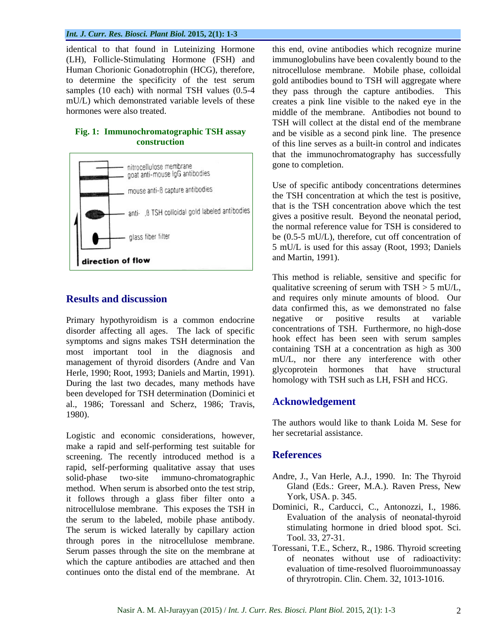### *Int. J. Curr. Res. Biosci. Plant Biol.* **2015, 2(1): 1-3**

samples (10 each) with normal TSH values (0.5-4 they pass through the capture antibodies. This



disorder affecting all ages. The lack of specific symptoms and signs makes TSH determination the most important tool in the diagnosis and management of thyroid disorders (Andre and Van Herle, 1990; Root, 1993; Daniels and Martin, 1991). During the last two decades, many methods have been developed for TSH determination (Dominici et al., 1986; Toressanl and Scherz, 1986; Travis, 1980).

Logistic and economic considerations, however, make a rapid and self-performing test suitable for<br>screening. The recently introduced method is a **References** screening. The recently introduced method is a rapid, self-performing qualitative assay that uses solid-phase two-site immuno-chromatographic Andre, J., Van Herle, A.J., 1990. In: The Thyroid method. When serum is absorbed onto the test strip, it follows through a glass fiber filter onto a nitrocellulose membrane. This exposes the TSH in the serum to the labeled, mobile phase antibody. The serum is wicked laterally by capillary action<br>through norms in the nitrogelluloge membrane Tool. 33, 27-31. through pores in the nitrocellulose membrane. Serum passes through the site on the membrane at which the capture antibodies are attached and then continues onto the distal end of the membrane. At

identical to that found in Luteinizing Hormone this end, ovine antibodies which recognize murine (LH), Follicle-Stimulating Hormone (FSH) and immunoglobulins have been covalently bound to the Human Chorionic Gonadotrophin (HCG), therefore, nitrocellulose membrane. Mobile phase, colloidal to determine the specificity of the test serum gold antibodies bound to TSH will aggregate where mU/L) which demonstrated variable levels of these creates a pink line visible to the naked eye in the hormones were also treated. middle of the membrane. Antibodies not bound to **Fig. 1: Immunochromatographic TSH assay**  and be visible as a second pink line. The presence **construction** of this line serves as a built-in control and indicates they pass through the capture antibodies. TSH will collect at the distal end of the membrane that the immunochromatography has successfully gone to completion.

> Use of specific antibody concentrations determines the TSH concentration at which the test is positive, that is the TSH concentration above which the test gives a positive result. Beyond the neonatal period, the normal reference value for TSH is considered to be (0.5-5 mU/L), therefore, cut off concentration of 5 mU/L is used for this assay (Root, 1993; Daniels and Martin, 1991).

**Results and discussion** and requires only minute amounts of blood. Our Primary hypothyroidism is a common endocrine negative or positive results at variable This method is reliable, sensitive and specific for qualitative screening of serum with  $TSH > 5$  mU/L, data confirmed this, as we demonstrated no false negative or positive results at variable concentrations of TSH. Furthermore, no high-dose hook effect has been seen with serum samples containing TSH at a concentration as high as 300 mU/L, nor there any interference with other glycoprotein hormones that have structural homology with TSH such as LH, FSH and HCG.

## **Acknowledgement**

The authors would like to thank Loida M. Sese for her secretarial assistance.

## **References**

- Gland (Eds.: Greer, M.A.). Raven Press, New York, USA. p. 345.
- Dominici, R., Carducci, C., Antonozzi, I., 1986. Evaluation of the analysis of neonatal-thyroid stimulating hormone in dried blood spot. Sci. Tool. 33, 27-31.
- Toressani, T.E., Scherz, R., 1986. Thyroid screeting of neonates without use of radioactivity: evaluation of time-resolved fluoroimmunoassay of thryrotropin. Clin. Chem. 32, 1013-1016.